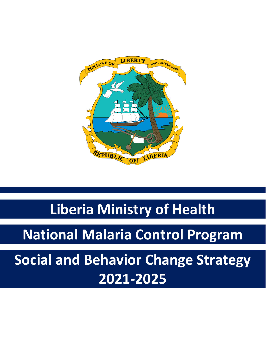

# **Liberia Ministry of Health**

# **National Malaria Control Program**

# **Social and Behavior Change Strategy 2021-2025**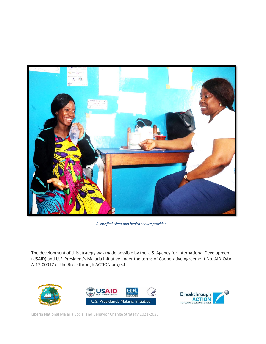

*A satisfied client and health service provider*

The development of this strategy was made possible by the U.S. Agency for International Development (USAID) and U.S. President's Malaria Initiative under the terms of Cooperative Agreement No. AID-OAA-A-17-00017 of the Breakthrough ACTION project.





Liberia National Malaria Social and Behavior Change Strategy 2021-2025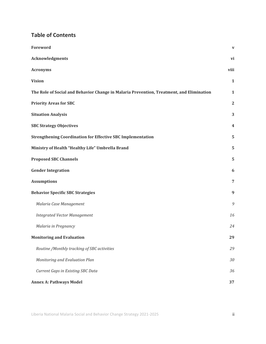#### **Table of Contents**

| Foreword                                                                                 | $\mathbf v$      |
|------------------------------------------------------------------------------------------|------------------|
| <b>Acknowledgments</b>                                                                   | vi               |
| <b>Acronyms</b>                                                                          | viii             |
| <b>Vision</b>                                                                            | $\mathbf{1}$     |
| The Role of Social and Behavior Change in Malaria Prevention, Treatment, and Elimination | $\mathbf{1}$     |
| <b>Priority Areas for SBC</b>                                                            | $\overline{2}$   |
| <b>Situation Analysis</b>                                                                | 3                |
| <b>SBC Strategy Objectives</b>                                                           | $\boldsymbol{4}$ |
| <b>Strengthening Coordination for Effective SBC Implementation</b>                       | 5                |
| Ministry of Health "Healthy Life" Umbrella Brand                                         | 5                |
| <b>Proposed SBC Channels</b>                                                             | 5                |
| <b>Gender Integration</b>                                                                | 6                |
| <b>Assumptions</b>                                                                       | $\overline{7}$   |
| <b>Behavior Specific SBC Strategies</b>                                                  | 9                |
| Malaria Case Management                                                                  | 9                |
| <b>Integrated Vector Management</b>                                                      | 16               |
| Malaria in Pregnancy                                                                     | 24               |
| <b>Monitoring and Evaluation</b>                                                         | 29               |
| Routine /Monthly tracking of SBC activities                                              | 29               |
| Monitoring and Evaluation Plan                                                           | 30               |
| Current Gaps in Existing SBC Data                                                        | 36               |
| <b>Annex A: Pathways Model</b>                                                           | 37               |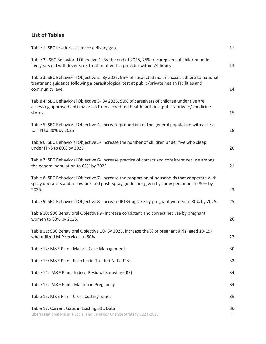#### **List of Tables**

| Table 1: SBC to address service delivery gaps                                                                                                                                                                     | 11        |
|-------------------------------------------------------------------------------------------------------------------------------------------------------------------------------------------------------------------|-----------|
| Table 2: SBC Behavioral Objective 1- By the end of 2025, 75% of caregivers of children under<br>five years old with fever seek treatment with a provider within 24 hours                                          | 13        |
| Table 3: SBC Behavioral Objective 2- By 2025, 95% of suspected malaria cases adhere to national<br>treatment guidance following a parasitological test at public/private health facilities and<br>community level | 14        |
| Table 4: SBC Behavioral Objective 3- By 2025, 90% of caregivers of children under five are<br>accessing approved anti-malarials from accredited health facilities (public/ private/ medicine<br>stores).          | 15        |
| Table 5: SBC Behavioral Objective 4- Increase proportion of the general population with access<br>to ITN to 80% by 2025                                                                                           | 18        |
| Table 6: SBC Behavioral Objective 5- Increase the number of children under five who sleep<br>under ITNS to 80% by 2025                                                                                            | 20        |
| Table 7: SBC Behavioral Objective 6- Increase practice of correct and consistent net use among<br>the general population to 65% by 2025                                                                           | 21        |
| Table 8: SBC Behavioral Objective 7- Increase the proportion of households that cooperate with<br>spray operators and follow pre-and post- spray guidelines given by spray personnel to 80% by<br>2025.           | 23        |
| Table 9: SBC Behavioral Objective 8- Increase IPT3+ uptake by pregnant women to 80% by 2025.                                                                                                                      | 25        |
| Table 10: SBC Behavioral Objective 9- Increase consistent and correct net use by pregnant<br>women to 80% by 2025.                                                                                                | 26        |
| Table 11: SBC Behavioral Objective 10- By 2025, increase the % of pregnant girls (aged 10-19)<br>who utilized MIP services to 50%.                                                                                | 27        |
| Table 12: M&E Plan - Malaria Case Management                                                                                                                                                                      | 30        |
| Table 13: M&E Plan - Insecticide-Treated Nets (ITN)                                                                                                                                                               | 32        |
| Table 14: M&E Plan - Indoor Residual Spraying (IRS)                                                                                                                                                               | 34        |
| Table 15: M&E Plan - Malaria in Pregnancy                                                                                                                                                                         | 34        |
| Table 16: M&E Plan - Cross Cutting Issues                                                                                                                                                                         | 36        |
| Table 17: Current Gaps in Existing SBC Data<br>Liberia National Malaria Social and Behavior Change Strategy 2021-2025                                                                                             | 36<br>iii |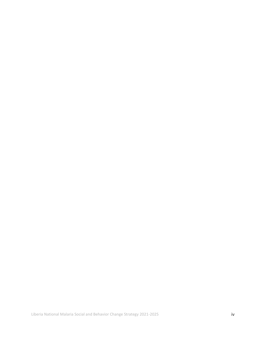Liberia National Malaria Social and Behavior Change Strategy 2021-2025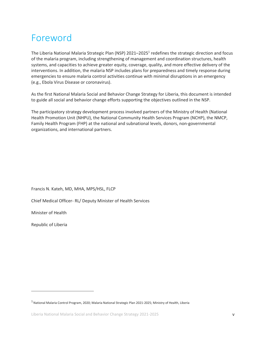### <span id="page-5-0"></span>Foreword

The Liberia National Malaria Strategic Plan (NSP) 2021–2025<sup>1</sup> redefines the strategic direction and focus of the malaria program, including strengthening of management and coordination structures, health systems, and capacities to achieve greater equity, coverage, quality, and more effective delivery of the interventions. In addition, the malaria NSP includes plans for preparedness and timely response during emergencies to ensure malaria control activities continue with minimal disruptions in an emergency (e.g., Ebola Virus Disease or coronavirus).

As the first National Malaria Social and Behavior Change Strategy for Liberia, this document is intended to guide all social and behavior change efforts supporting the objectives outlined in the NSP.

The participatory strategy development process involved partners of the Ministry of Health (National Health Promotion Unit (NHPU), the National Community Health Services Program (NCHP), the NMCP, Family Health Program (FHP) at the national and subnational levels, donors, non-governmental organizations, and international partners.

Francis N. Kateh, MD, MHA, MPS/HSL, FLCP

Chief Medical Officer- RL/ Deputy Minister of Health Services

Minister of Health

Republic of Liberia

 $^{\rm 1}$  National Malaria Control Program, 2020; Malaria National Strategic Plan 2021-2025; Ministry of Health, Liberia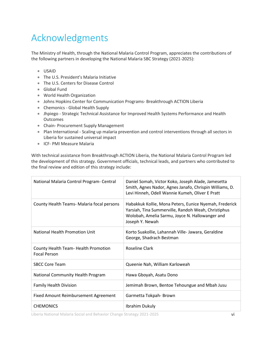## <span id="page-6-0"></span>Acknowledgments

The Ministry of Health, through the National Malaria Control Program, appreciates the contributions of the following partners in developing the National Malaria SBC Strategy (2021-2025):

- USAID
- The U.S. President's Malaria Initiative
- The U.S. Centers for Disease Control
- Global Fund
- World Health Organization
- Johns Hopkins Center for Communication Programs- Breakthrough ACTION Liberia
- Chemonics Global Health Supply
- Jhpiego Strategic Technical Assistance for Improved Health Systems Performance and Health **Outcomes**
- Chain- Procurement Supply Management
- Plan International Scaling up malaria prevention and control interventions through all sectors in Liberia for sustained universal impact
- ICF- PMI Measure Malaria

With technical assistance from Breakthrough ACTION Liberia, the National Malaria Control Program led the development of this strategy. Government officials, technical leads, and partners who contributed to the final review and edition of this strategy include:

| National Malaria Control Program- Central                   | Daniel Somah, Victor Koko, Joseph Alade, Jamesetta<br>Smith, Agnes Nador, Agnes Janafo, Chrispin Williams, D.<br>Levi Hinneh, Odell Wannie Kumeh, Oliver E Pratt                    |
|-------------------------------------------------------------|-------------------------------------------------------------------------------------------------------------------------------------------------------------------------------------|
| County Health Teams- Malaria focal persons                  | Habakkuk Kollie, Mona Peters, Eunice Nyemah, Frederick<br>Yarsiah, Tina Summerville, Randoh Weah, Christiphus<br>Wolobah, Amelia Sarmu, Joyce N. Hallowanger and<br>Joseph Y. Newah |
| National Health Promotion Unit                              | Korto Suakollie, Lahannah Ville-Jawara, Geraldine<br>George, Shadrach Bestman                                                                                                       |
| County Health Team- Health Promotion<br><b>Focal Person</b> | <b>Roseline Clark</b>                                                                                                                                                               |
| <b>SBCC Core Team</b>                                       | Queenie Nah, William Karloweah                                                                                                                                                      |
| National Community Health Program                           | Hawa Gboyah, Asatu Dono                                                                                                                                                             |
| <b>Family Health Division</b>                               | Jemimah Brown, Bentoe Tehoungue and Mbah Jusu                                                                                                                                       |
| <b>Fixed Amount Reimbursement Agreement</b>                 | Garmetta Tokpah-Brown                                                                                                                                                               |
| <b>CHEMONICS</b>                                            | Ibrahim Dukuly                                                                                                                                                                      |

Liberia National Malaria Social and Behavior Change Strategy 2021-2025 vi metal and the view view view view vi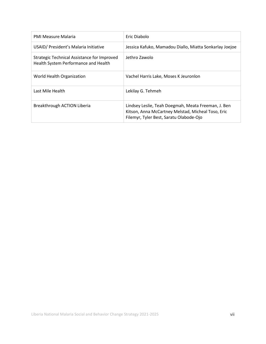| PMI Measure Malaria                                                                 | Eric Diabolo                                                                                                                                         |
|-------------------------------------------------------------------------------------|------------------------------------------------------------------------------------------------------------------------------------------------------|
| USAID/ President's Malaria Initiative                                               | Jessica Kafuko, Mamadou Diallo, Miatta Sonkarlay Joejoe                                                                                              |
| Strategic Technical Assistance for Improved<br>Health System Performance and Health | Jethro Zawolo                                                                                                                                        |
| World Health Organization                                                           | Vachel Harris Lake, Moses K Jeuronlon                                                                                                                |
| Last Mile Health                                                                    | Lekilay G. Tehmeh                                                                                                                                    |
| Breakthrough ACTION Liberia                                                         | Lindsey Leslie, Teah Doegmah, Meata Freeman, J. Ben<br>Kitson, Anna McCartney Melstad, Micheal Toso, Eric<br>Filemyr, Tyler Best, Saratu Olabode-Ojo |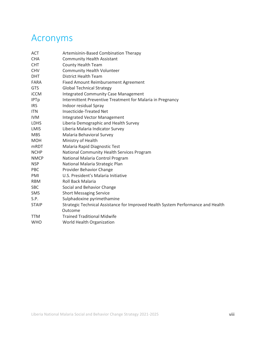### <span id="page-8-0"></span>Acronyms

| <b>ACT</b>   | Artemisinin-Based Combination Therapy                                            |
|--------------|----------------------------------------------------------------------------------|
| <b>CHA</b>   | <b>Community Health Assistant</b>                                                |
| <b>CHT</b>   | <b>County Health Team</b>                                                        |
| <b>CHV</b>   | <b>Community Health Volunteer</b>                                                |
| <b>DHT</b>   | District Health Team                                                             |
| <b>FARA</b>  | <b>Fixed Amount Reimbursement Agreement</b>                                      |
| <b>GTS</b>   | <b>Global Technical Strategy</b>                                                 |
| <b>iCCM</b>  | <b>Integrated Community Case Management</b>                                      |
| <b>IPTp</b>  | Intermittent Preventive Treatment for Malaria in Pregnancy                       |
| <b>IRS</b>   | Indoor residual Spray                                                            |
| <b>ITN</b>   | <b>Insecticide-Treated Net</b>                                                   |
| <b>IVM</b>   | <b>Integrated Vector Management</b>                                              |
| <b>LDHS</b>  | Liberia Demographic and Health Survey                                            |
| <b>LMIS</b>  | Liberia Malaria Indicator Survey                                                 |
| <b>MBS</b>   | Malaria Behavioral Survey                                                        |
| <b>MOH</b>   | Ministry of Health                                                               |
| <b>mRDT</b>  | Malaria Rapid Diagnostic Test                                                    |
| <b>NCHP</b>  | National Community Health Services Program                                       |
| <b>NMCP</b>  | National Malaria Control Program                                                 |
| <b>NSP</b>   | National Malaria Strategic Plan                                                  |
| <b>PBC</b>   | Provider Behavior Change                                                         |
| PMI          | U.S. President's Malaria Initiative                                              |
| <b>RBM</b>   | <b>Roll Back Malaria</b>                                                         |
| <b>SBC</b>   | Social and Behavior Change                                                       |
| <b>SMS</b>   | <b>Short Messaging Service</b>                                                   |
| S.P.         | Sulphadoxine pyrimethamine                                                       |
| <b>STAIP</b> | Strategic Technical Assistance for Improved Health System Performance and Health |
|              | Outcome                                                                          |
| <b>TTM</b>   | <b>Trained Traditional Midwife</b>                                               |
| <b>WHO</b>   | World Health Organization                                                        |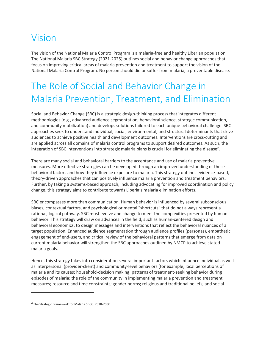### <span id="page-9-0"></span>Vision

The vision of the National Malaria Control Program is a malaria-free and healthy Liberian population. The National Malaria SBC Strategy (2021-2025) outlines social and behavior change approaches that focus on improving critical areas of malaria prevention and treatment to support the vision of the National Malaria Control Program. No person should die or suffer from malaria, a preventable disease.

## <span id="page-9-1"></span>The Role of Social and Behavior Change in Malaria Prevention, Treatment, and Elimination

Social and Behavior Change (SBC) is a strategic design-thinking process that integrates different methodologies (e.g., advanced audience segmentation, behavioral science, strategic communication, and community mobilization) and develops solutions tailored to each unique behavioral challenge. SBC approaches seek to understand individual, social, environmental, and structural determinants that drive audiences to achieve positive health and development outcomes. Interventions are cross-cutting and are applied across all domains of malaria control programs to support desired outcomes. As such, the integration of SBC interventions into strategic malaria plans is crucial for eliminating the disease<sup>2</sup>.

There are many social and behavioral barriers to the acceptance and use of malaria preventive measures. More effective strategies can be developed through an improved understanding of these behavioral factors and how they influence exposure to malaria. This strategy outlines evidence-based, theory-driven approaches that can positively influence malaria prevention and treatment behaviors. Further, by taking a systems-based approach, including advocating for improved coordination and policy change, this strategy aims to contribute towards Liberia's malaria elimination efforts.

SBC encompasses more than communication. Human behavior is influenced by several subconscious biases, contextual factors, and psychological or mental "shortcuts" that do not always represent a rational, logical pathway. SBC must evolve and change to meet the complexities presented by human behavior. This strategy will draw on advances in the field, such as human-centered design and behavioral economics, to design messages and interventions that reflect the behavioral nuances of a target population. Enhanced audience segmentation through audience profiles (personas), empathetic engagement of end-users, and critical review of the behavioral patterns that emerge from data on current malaria behavior will strengthen the SBC approaches outlined by NMCP to achieve stated malaria goals.

Hence, this strategy takes into consideration several important factors which influence individual as well as interpersonal (provider-client) and community-level behaviors (for example, local perceptions of malaria and its causes; household-decision making; patterns of treatment-seeking behavior during episodes of malaria; the role of the community in implementing malaria prevention and treatment measures; resource and time constraints; gender norms; religious and traditional beliefs; and social

<sup>&</sup>lt;sup>2</sup> The Strategic Framework for Malaria SBCC: 2018-2030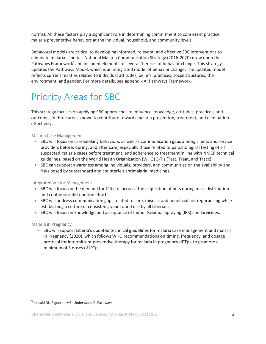norms). All these factors play a significant role in determining commitment to consistent practice malaria preventative behaviors at the individual, household, and community levels.

Behavioral models are critical to developing informed, relevant, and effective SBC interventions to eliminate malaria. Liberia's National Malaria Communication Strategy (2016-2020) drew upon the Pathways Framework<sup>3</sup> and included elements of several theories of behavior change. This strategy updates the Pathways Model, which is an integrated model of behavior change. The updated model reflects current realities related to individual attitudes, beliefs, practices, social structures, the environment, and gender. For more details, see appendix A: Pathways Framework.

### <span id="page-10-0"></span>Priority Areas for SBC

This strategy focuses on applying SBC approaches to influence knowledge, attitudes, practices, and outcomes in three areas known to contribute towards malaria prevention, treatment, and elimination effectively:

Malaria Case Management

- SBC will focus on care-seeking behaviors, as well as communication gaps among clients and service providers before, during, and after care, especially those related to parasitological testing of all suspected malaria cases before treatment, and adherence to treatment in line with NMCP technical guidelines, based on the World Health Organization (WHO) 3-T's (Test, Treat, and Track).
- SBC can support awareness among individuals, providers, and communities on the availability and risks posed by substandard and counterfeit antimalarial medicines.

Integrated Vector Management

- SBC will focus on the demand for ITNs to increase the acquisition of nets during mass distribution and continuous distribution efforts.
- SBC will address communication gaps related to care, misuse, and beneficial net repurposing while establishing a culture of consistent, year-round use by all Liberians.
- SBC will focus on knowledge and acceptance of Indoor Residual Spraying (IRS) and larvicides.

Malaria in Pregnancy

• SBC will support Liberia's updated technical guidelines for malaria case management and malaria in Pregnancy (2020), which follows WHO recommendations on timing, frequency, and dosage protocol for intermittent preventive therapy for malaria in pregnancy (IPTp), to promote a minimum of 3 doses of IPTp.

<sup>&</sup>lt;sup>3</sup> Kincaid DL, Figueroa ME, Underwood C. Pathways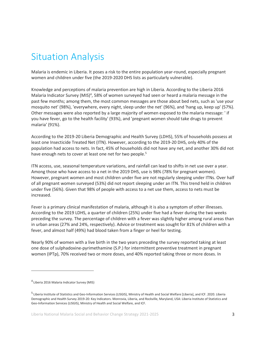### <span id="page-11-0"></span>Situation Analysis

Malaria is endemic in Liberia. It poses a risk to the entire population year-round, especially pregnant women and children under five (the 2019-2020 DHS lists as particularly vulnerable).

Knowledge and perceptions of malaria prevention are high in Liberia. According to the Liberia 2016 Malaria Indicator Survey (MIS)<sup>4</sup>, 58% of women surveyed had seen or heard a malaria message in the past few months; among them, the most common messages are those about bed nets, such as 'use your mosquito net' (98%), 'everywhere, every night, sleep under the net' (96%), and 'hang up, keep up' (57%). Other messages were also reported by a large majority of women exposed to the malaria message: ' if you have fever, go to the health facility' (93%), and 'pregnant women should take drugs to prevent malaria' (91%).

According to the 2019-20 Liberia Demographic and Health Survey (LDHS), 55% of households possess at least one Insecticide Treated Net (ITN). However, according to the 2019-20 DHS, only 40% of the population had access to nets. In fact, 45% of households did not have any net, and another 30% did not have enough nets to cover at least one net for two people.<sup>5</sup>

ITN access, use, seasonal temperature variations, and rainfall can lead to shifts in net use over a year. Among those who have access to a net in the 2019 DHS, use is 98% (78% for pregnant women). However, pregnant women and most children under five are not regularly sleeping under ITNs. Over half of all pregnant women surveyed (53%) did not report sleeping under an ITN. This trend held in children under five (56%). Given that 98% of people with access to a net use them, access to nets must be increased.

Fever is a primary clinical manifestation of malaria, although it is also a symptom of other illnesses. According to the 2019 LDHS, a quarter of children (25%) under five had a fever during the two weeks preceding the survey. The percentage of children with a fever was slightly higher among rural areas than in urban areas (27% and 24%, respectively). Advice or treatment was sought for 81% of children with a fever, and almost half (49%) had blood taken from a finger or heel for testing.

Nearly 90% of women with a live birth in the two years preceding the survey reported taking at least one dose of sulphadoxine-pyrimethamine (S.P.) for intermittent preventive treatment in pregnant women (IPTp), 70% received two or more doses, and 40% reported taking three or more doses. In

<sup>4</sup> Liberia 2016 Malaria Indicator Survey (MIS)

<sup>&</sup>lt;sup>5</sup> Liberia Institute of Statistics and Geo-Information Services (LISGIS), Ministry of Health and Social Welfare [Liberia], and ICF. 2020. Liberia Demographic and Health Survey 2019-20: Key Indicators. Monrovia, Liberia, and Rockville, Maryland, USA: Liberia Institute of Statistics and Geo-Information Services (LISGIS), Ministry of Health and Social Welfare, and ICF.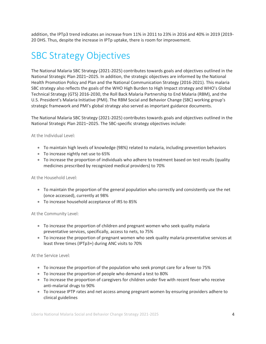addition, the IPTp3 trend indicates an increase from 11% in 2011 to 23% in 2016 and 40% in 2019 (2019- 20 DHS. Thus, despite the increase in IPTp uptake, there is room for improvement.

### <span id="page-12-0"></span>SBC Strategy Objectives

The National Malaria SBC Strategy (2021-2025) contributes towards goals and objectives outlined in the National Strategic Plan 2021–2025. In addition, the strategic objectives are informed by the National Health Promotion Policy and Plan and the National Communication Strategy (2016-2021). This malaria SBC strategy also reflects the goals of the WHO High Burden to High Impact strategy and WHO's Global Technical Strategy (GTS) 2016-2030, the Roll Back Malaria Partnership to End Malaria (RBM), and the U.S. President's Malaria Initiative (PMI). The RBM Social and Behavior Change (SBC) working group's strategic framework and PMI's global strategy also served as important guidance documents.

The National Malaria SBC Strategy (2021-2025) contributes towards goals and objectives outlined in the National Strategic Plan 2021–2025. The SBC-specific strategy objectives include:

At the Individual Level:

- To maintain high levels of knowledge (98%) related to malaria, including prevention behaviors
- To increase nightly net use to 65%
- To increase the proportion of individuals who adhere to treatment based on test results (quality medicines prescribed by recognized medical providers) to 70%

At the Household Level:

- To maintain the proportion of the general population who correctly and consistently use the net (once accessed), currently at 98%
- To increase household acceptance of IRS to 85%

At the Community Level:

- To increase the proportion of children and pregnant women who seek quality malaria preventative services, specifically, access to nets, to 75%
- To increase the proportion of pregnant women who seek quality malaria preventative services at least three times (IPTp3+) during ANC visits to 70%

At the Service Level:

- To increase the proportion of the population who seek prompt care for a fever to 75%
- To increase the proportion of people who demand a test to 80%
- To increase the proportion of caregivers for children under five with recent fever who receive anti-malarial drugs to 90%
- To increase IPTP rates and net access among pregnant women by ensuring providers adhere to clinical guidelines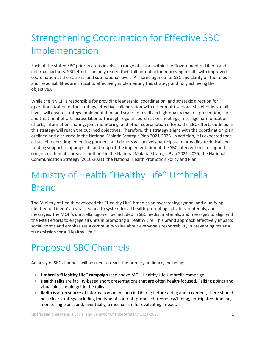## <span id="page-13-0"></span>Strengthening Coordination for Effective SBC Implementation

Each of the stated SBC priority areas involves a range of actors within the Government of Liberia and external partners. SBC efforts can only realize their full potential for improving results with improved coordination at the national and sub-national levels. A shared agenda for SBC and clarity on the roles and responsibilities are critical to effectively implementing this strategy and fully achieving the objectives.

While the NMCP is responsible for providing leadership, coordination, and strategic direction for operationalization of the strategy, effective collaboration with other multi-sectoral stakeholders at all levels will ensure strategy implementation and scale-up results in high-quality malaria prevention, care, and treatment efforts across Liberia. Through regular coordination meetings, message harmonization efforts, information sharing, joint monitoring, and other coordination efforts, the SBC efforts outlined in this strategy will reach the outlined objectives. Therefore, this strategy aligns with the coordination plan outlined and discussed in the National Malaria Strategic Plan 2021-2025. In addition, it is expected that all stakeholders, implementing partners, and donors will actively participate in providing technical and funding support as appropriate and support the implementation of the SBC interventions to support congruent thematic areas as outlined in the National Malaria Strategic Plan 2021-2025, the National Communication Strategy (2016-2021), the National Health Promotion Policy and Plan.

## <span id="page-13-1"></span>Ministry of Health "Healthy Life" Umbrella Brand

The Ministry of Health developed the "Healthy Life" brand as an overarching symbol and a unifying identity for Liberia's revitalized health system for all health-promoting activities, materials, and messages. The MOH's umbrella logo will be included in SBC media, materials, and messages to align with the MOH efforts to engage all units in promoting a Healthy Life. This brand approach effectively impacts social norms and emphasizes a community value about everyone's responsibility in preventing malaria transmission for a "Healthy Life."

### <span id="page-13-2"></span>Proposed SBC Channels

An array of SBC channels will be used to reach the primary audience, including:

- **Umbrella "Healthy Life" campaign** (see above MOH Healthy Life Umbrella campaign).
- **Health talks** are facility-based short presentations that are often health-focused. Talking points and visual aids should guide the talks.
- **Radio** is a top source of information on malaria in Liberia; before airing audio content, there should be a clear strategy including the type of content, proposed frequency/timing, anticipated timeline, monitoring plans, and, eventually, a mechanism for evaluating impact.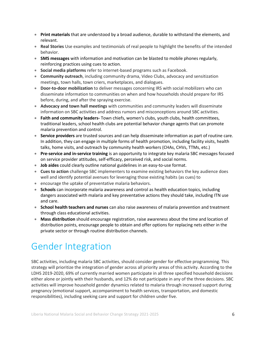- **Print materials** that are understood by a broad audience, durable to withstand the elements, and relevant.
- **Real Stories** Use examples and testimonials of real people to highlight the benefits of the intended behavior.
- **SMS messages** with information and motivation can be blasted to mobile phones regularly, reinforcing practices using cues to action.
- **Social media platforms** refer to internet-based programs such as Facebook.
- **Community outreach**, including community drama, Video Clubs, advocacy and sensitization meetings, town halls, town criers, marketplaces, and dialogues.
- **Door-to-door mobilization** to deliver messages concerning IRS with social mobilizers who can disseminate information to communities on when and how households should prepare for IRS before, during, and after the spraying exercise.
- **Advocacy and town hall meetings** with communities and community leaders will disseminate information on SBC activities and address rumors and misconceptions around SBC activities.
- **Faith and community leaders-** Town chiefs, women's clubs, youth clubs, health committees, traditional leaders, school health clubs are potential behavior change agents that can promote malaria prevention and control.
- **Service providers** are trusted sources and can help disseminate information as part of routine care. In addition, they can engage in multiple forms of health promotion, including facility visits, health talks, home visits, and outreach by community health workers (CHAs, CHVs, TTMs, etc.)
- **Pre-service and in-service training** is an opportunity to integrate key malaria SBC messages focused on service provider attitudes, self-efficacy, perceived risk, and social norms.
- **Job aides** could clearly outline national guidelines in an easy-to-use format.
- **Cues to action** challenge SBC implementers to examine existing behaviors the key audience does well and identify potential avenues for leveraging those existing habits (as cues) to
- encourage the uptake of preventative malaria behaviors.
- **Schools** can incorporate malaria awareness and control as health education topics, including dangers associated with malaria and key preventative actions they should take, including ITN use and care.
- **School health teachers and nurses** can also raise awareness of malaria prevention and treatment through class educational activities.
- **Mass distribution** should encourage registration, raise awareness about the time and location of distribution points, encourage people to obtain and offer options for replacing nets either in the private sector or through routine distribution channels.

### <span id="page-14-0"></span>Gender Integration

SBC activities, including malaria SBC activities, should consider gender for effective programming. This strategy will prioritize the integration of gender across all priority areas of this activity. According to the LDHS 2019-2020, 69% of currently married women participate in all three specified household decisions either alone or jointly with their husbands, and 12% do not participate in any of the three decisions. SBC activities will improve household gender dynamics related to malaria through increased support during pregnancy (emotional support, accompaniment to health services, transportation, and domestic responsibilities), including seeking care and support for children under five.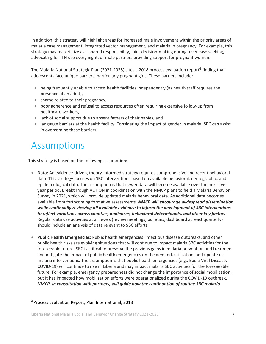In addition, this strategy will highlight areas for increased male involvement within the priority areas of malaria case management, integrated vector management, and malaria in pregnancy. For example, this strategy may materialize as a shared responsibility, joint decision-making during fever case seeking, advocating for ITN use every night, or male partners providing support for pregnant women.

The Malaria National Strategic Plan (2021-2025) cites a 2018 process evaluation report<sup>6</sup> finding that adolescents face unique barriers, particularly pregnant girls. These barriers include:

- being frequently unable to access health facilities independently (as health staff requires the presence of an adult),
- shame related to their pregnancy,
- poor adherence and refusal to access resources often requiring extensive follow-up from healthcare workers,
- lack of social support due to absent fathers of their babies, and
- language barriers at the health facility. Considering the impact of gender in malaria, SBC can assist in overcoming these barriers.

### <span id="page-15-0"></span>Assumptions

This strategy is based on the following assumption:

- **Data:** An evidence-driven, theory-informed strategy requires comprehensive and recent behavioral data. This strategy focuses on SBC interventions based on available behavioral, demographic, and epidemiological data. The assumption is that newer data will become available over the next fiveyear period. Breakthrough ACTION in coordination with the NMCP plans to field a Malaria Behavior Survey in 2021, which will provide updated malaria behavioral data. As additional data becomes available from forthcoming formative assessments, *NMCP will encourage widespread dissemination while continually reviewing all available evidence to inform the development of SBC interventions to reflect variations across counties, audiences, behavioral determinants, and other key factors*. Regular data use activities at all levels (review meetings, bulletins, dashboard at least quarterly) should include an analysis of data relevant to SBC efforts.
- **Public Health Emergencies:** Public health emergencies, infectious disease outbreaks, and other public health risks are evolving situations that will continue to impact malaria SBC activities for the foreseeable future. SBC is critical to preserve the previous gains in malaria prevention and treatment and mitigate the impact of public health emergencies on the demand, utilization, and update of malaria interventions. The assumption is that public health emergencies (e.g., Ebola Viral Disease, COVID-19) will continue to rise in Liberia and may impact malaria SBC activities for the foreseeable future. For example, emergency preparedness did not change the importance of social mobilization, but it has impacted how mobilization efforts were operationalized during the COVID-19 outbreak. *NMCP, in consultation with partners, will guide how the continuation of routine SBC malaria*

<sup>&</sup>lt;sup>6</sup> Process Evaluation Report, Plan International, 2018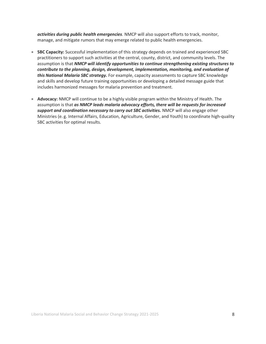*activities during public health emergencies*. NMCP will also support efforts to track, monitor, manage, and mitigate rumors that may emerge related to public health emergencies.

- **SBC Capacity:** Successful implementation of this strategy depends on trained and experienced SBC practitioners to support such activities at the central, county, district, and community levels. The assumption is that *NMCP will identify opportunities to continue strengthening existing structures to contribute to the planning, design, development, implementation, monitoring, and evaluation of this National Malaria SBC strategy.* For example, capacity assessments to capture SBC knowledge and skills and develop future training opportunities or developing a detailed message guide that includes harmonized messages for malaria prevention and treatment.
- **Advocacy:** NMCP will continue to be a highly visible program within the Ministry of Health. The assumption is that *as NMCP leads malaria advocacy efforts, there will be requests for increased support and coordination necessary to carry out SBC activities.* NMCP will also engage other Ministries (e. g. Internal Affairs, Education, Agriculture, Gender, and Youth) to coordinate high-quality SBC activities for optimal results.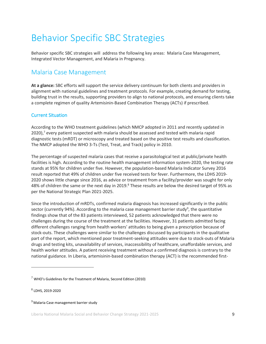### <span id="page-17-0"></span>Behavior Specific SBC Strategies

Behavior specific SBC strategies will address the following key areas: Malaria Case Management, Integrated Vector Management, and Malaria in Pregnancy.

### <span id="page-17-1"></span>Malaria Case Management

**At a glance:** SBC efforts will support the service delivery continuum for both clients and providers in alignment with national guidelines and treatment protocols. For example, creating demand for testing, building trust in the results, supporting providers to align to national protocols, and ensuring clients take a complete regimen of quality Artemisinin-Based Combination Therapy (ACTs) if prescribed.

#### Current Situation

According to the WHO treatment guidelines (which NMCP adopted in 2011 and recently updated in  $2020$ ,<sup>7</sup> every patient suspected with malaria should be assessed and tested with malaria rapid diagnostic tests (mRDT) or microscopy and treated based on the positive test results and classification. The NMCP adopted the WHO 3-Ts (Test, Treat, and Track) policy in 2010.

The percentage of suspected malaria cases that receive a parasitological test at public/private health facilities is high. According to the routine health management information system-2020, the testing rate stands at 95% for children under five. However, the population-based Malaria Indicator Survey 2016 result reported that 49% of children under five received tests for fever. Furthermore, the LDHS 2019- 2020 shows little change since 2016, as advice or treatment from a facility/provider was sought for only 48% of children the same or the next day in 2019.<sup>8</sup> These results are below the desired target of 95% as per the National Strategic Plan 2021-2025.

Since the introduction of mRDTs, confirmed malaria diagnosis has increased significantly in the public sector (currently 94%). According to the malaria case management barrier study<sup>9</sup>, the quantitative findings show that of the 83 patients interviewed, 52 patients acknowledged that there were no challenges during the course of the treatment at the facilities. However, 31 patients admitted facing different challenges ranging from health workers' attitudes to being given a prescription because of stock-outs. These challenges were similar to the challenges discussed by participants in the qualitative part of the report, which mentioned poor treatment-seeking attitudes were due to stock-outs of Malaria drugs and testing kits, unavailability of services, inaccessibility of healthcare, unaffordable services, and health worker attitudes. A patient receiving treatment without a confirmed diagnosis is contrary to the national guidance. In Liberia, artemisinin-based combination therapy (ACT) is the recommended first-

 $7$  WHO's Guidelines for the Treatment of Malaria, Second Edition (2010)

<sup>8</sup> LDHS, 2019-2020

<sup>&</sup>lt;sup>9</sup> Malaria Case management barrier study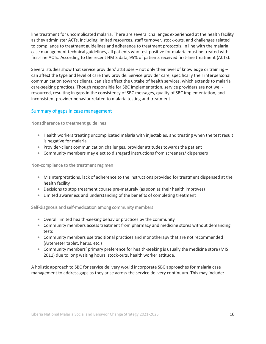line treatment for uncomplicated malaria. There are several challenges experienced at the health facility as they administer ACTs, including limited resources, staff turnover, stock-outs, and challenges related to compliance to treatment guidelines and adherence to treatment protocols. In line with the malaria case management technical guidelines, all patients who test positive for malaria must be treated with first-line ACTs. According to the recent HMIS data, 95% of patients received first-line treatment (ACTs).

Several studies show that service providers' attitudes – not only their level of knowledge or training – can affect the type and level of care they provide. Service provider care, specifically their interpersonal communication towards clients, can also affect the uptake of health services, which extends to malaria care-seeking practices. Though responsible for SBC implementation, service providers are not wellresourced, resulting in gaps in the consistency of SBC messages, quality of SBC implementation, and inconsistent provider behavior related to malaria testing and treatment.

#### Summary of gaps in case management

Nonadherence to treatment guidelines

- Health workers treating uncomplicated malaria with injectables, and treating when the test result is negative for malaria
- Provider-client communication challenges, provider attitudes towards the patient
- Community members may elect to disregard instructions from screeners/ dispensers

Non-compliance to the treatment regimen

- Misinterpretations, lack of adherence to the instructions provided for treatment dispensed at the health facility
- Decisions to stop treatment course pre-maturely (as soon as their health improves)
- Limited awareness and understanding of the benefits of completing treatment

Self-diagnosis and self-medication among community members

- Overall limited health-seeking behavior practices by the community
- Community members access treatment from pharmacy and medicine stores without demanding tests
- Community members use traditional practices and monotherapy that are not recommended (Artemeter tablet, herbs, etc.)
- Community members' primary preference for health-seeking is usually the medicine store (MIS 2011) due to long waiting hours, stock-outs, health worker attitude.

A holistic approach to SBC for service delivery would incorporate SBC approaches for malaria case management to address gaps as they arise across the service delivery continuum. This may include: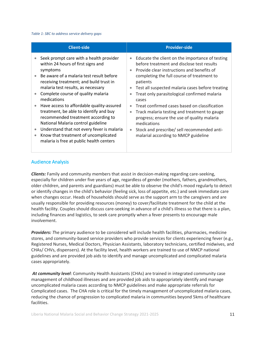#### <span id="page-19-0"></span>*Table 1: SBC to address service delivery gaps*

| <b>Client-side</b>                                                                                                                                                                                                                                                                                                                                                                                                                                                                                                                                                                                                           | <b>Provider-side</b>                                                                                                                                                                                                                                                                                                                                                                                                                                                                                                                                                                                                                                                |
|------------------------------------------------------------------------------------------------------------------------------------------------------------------------------------------------------------------------------------------------------------------------------------------------------------------------------------------------------------------------------------------------------------------------------------------------------------------------------------------------------------------------------------------------------------------------------------------------------------------------------|---------------------------------------------------------------------------------------------------------------------------------------------------------------------------------------------------------------------------------------------------------------------------------------------------------------------------------------------------------------------------------------------------------------------------------------------------------------------------------------------------------------------------------------------------------------------------------------------------------------------------------------------------------------------|
| Seek prompt care with a health provider<br>$\bullet$<br>within 24 hours of first signs and<br>symptoms<br>Be aware of a malaria test result before<br>receiving treatment; and build trust in<br>malaria test results, as necessary<br>Complete course of quality malaria<br>medications<br>Have access to affordable quality-assured<br>$\bullet$<br>treatment, be able to identify and buy<br>recommended treatment according to<br>National Malaria control guideline<br>Understand that not every fever is malaria<br>۰<br>Know that treatment of uncomplicated<br>$\bullet$<br>malaria is free at public health centers | Educate the client on the importance of testing<br>$\bullet$<br>before treatment and disclose test results<br>Provide clear instructions and benefits of<br>$\bullet$<br>completing the full course of treatment to<br>patients<br>Test all suspected malaria cases before treating<br>$\bullet$<br>Treat only parasitological confirmed malaria<br>$\bullet$<br>cases<br>Treat confirmed cases based on classification<br>$\bullet$<br>Track malaria testing and treatment to gauge<br>$\bullet$<br>progress; ensure the use of quality malaria<br>medications<br>Stock and prescribe/ sell recommended anti-<br>$\bullet$<br>malarial according to NMCP guideline |

#### Audience Analysis

*Clients:* Family and community members that assist in decision-making regarding care-seeking, especially for children under five years of age, regardless of gender (mothers, fathers, grandmothers, older children, and parents and guardians) must be able to observe the child's mood regularly to detect or identify changes in the child's behavior (feeling sick, loss of appetite, etc.) and seek immediate care when changes occur. Heads of households should serve as the support arm to the caregivers and are usually responsible for providing resources (money) to cover/facilitate treatment for the child at the health facility. Couples should discuss care-seeking in advance of a child's illness so that there is a plan, including finances and logistics, to seek care promptly when a fever presents to encourage male involvement.

*Providers: T*he primary audience to be considered will include health facilities, pharmacies, medicine stores, and community-based service providers who provide services for clients experiencing fever (e.g., Registered Nurses, Medical Doctors, Physician Assistants, laboratory technicians, certified midwives, and CHAs/ CHVs, dispensers). At the facility level, health workers are trained to use of NMCP national guidelines and are provided job aids to identify and manage uncomplicated and complicated malaria cases appropriately.

*At community level*: Community Health Assistants (CHAs) are trained in integrated community case management of childhood illnesses and are provided job aids to appropriately identify and manage uncomplicated malaria cases according to NMCP guidelines and make appropriate referrals for Complicated cases. The CHA role is critical for the timely management of uncomplicated malaria cases, reducing the chance of progression to complicated malaria in communities beyond 5kms of healthcare facilities.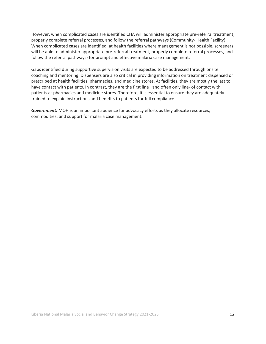However, when complicated cases are identified CHA will administer appropriate pre-referral treatment, properly complete referral processes, and follow the referral pathways (Community- Health Facility). When complicated cases are identified, at health facilities where management is not possible, screeners will be able to administer appropriate pre-referral treatment, properly complete referral processes, and follow the referral pathways) for prompt and effective malaria case management.

Gaps identified during supportive supervision visits are expected to be addressed through onsite coaching and mentoring. Dispensers are also critical in providing information on treatment dispensed or prescribed at health facilities, pharmacies, and medicine stores. At facilities, they are mostly the last to have contact with patients. In contrast, they are the first line –and often only line- of contact with patients at pharmacies and medicine stores. Therefore, it is essential to ensure they are adequately trained to explain instructions and benefits to patients for full compliance.

*Government:* MOH is an important audience for advocacy efforts as they allocate resources, commodities, and support for malaria case management.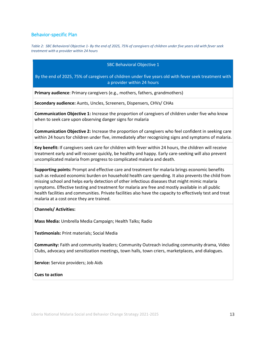#### Behavior-specific Plan

<span id="page-21-0"></span>*Table 2: SBC Behavioral Objective 1- By the end of 2025, 75% of caregivers of children under five years old with fever seek treatment with a provider within 24 hours*

#### SBC Behavioral Objective 1

By the end of 2025, 75% of caregivers of children under five years old with fever seek treatment with a provider within 24 hours

**Primary audience**: Primary caregivers (e.g., mothers, fathers, grandmothers)

**Secondary audience:** Aunts, Uncles, Screeners, Dispensers, CHVs/ CHAs

**Communication Objective 1:** Increase the proportion of caregivers of children under five who know when to seek care upon observing danger signs for malaria

**Communication Objective 2:** Increase the proportion of caregivers who feel confident in seeking care within 24 hours for children under five, immediately after recognizing signs and symptoms of malaria.

**Key benefit:** If caregivers seek care for children with fever within 24 hours, the children will receive treatment early and will recover quickly, be healthy and happy. Early care-seeking will also prevent uncomplicated malaria from progress to complicated malaria and death.

**Supporting points:** Prompt and effective care and treatment for malaria brings economic benefits such as reduced economic burden on household health care spending. It also prevents the child from missing school and helps early detection of other infectious diseases that might mimic malaria symptoms. Effective testing and treatment for malaria are free and mostly available in all public health facilities and communities. Private facilities also have the capacity to effectively test and treat malaria at a cost once they are trained.

**Channels/ Activities:** 

**Mass Media:** Umbrella Media Campaign; Health Talks; Radio

**Testimonials:** Print materials; Social Media

**Community:** Faith and community leaders; Community Outreach including community drama, Video Clubs, advocacy and sensitization meetings, town halls, town criers, marketplaces, and dialogues.

**Service:** Service providers; Job Aids

**Cues to action**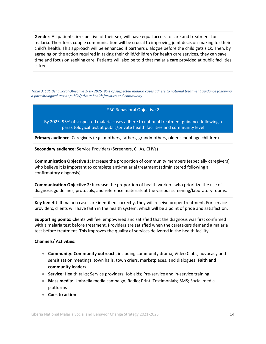**Gender:** All patients, irrespective of their sex, will have equal access to care and treatment for malaria. Therefore, couple communication will be crucial to improving joint decision-making for their child's health. This approach will be enhanced if partners dialogue before the child gets sick. Then, by agreeing on the action required in taking their child/children for health care services, they can save time and focus on seeking care. Patients will also be told that malaria care provided at public facilities is free.

<span id="page-22-0"></span>*Table 3: SBC Behavioral Objective 2- By 2025, 95% of suspected malaria cases adhere to national treatment guidance following a parasitological test at public/private health facilities and community* 

#### SBC Behavioral Objective 2

By 2025, 95% of suspected malaria cases adhere to national treatment guidance following a parasitological test at public/private health facilities and community level

**Primary audience:** Caregivers (e.g., mothers, fathers, grandmothers, older school-age children)

**Secondary audience:** Service Providers (Screeners, CHAs, CHVs)

**Communication Objective 1**: Increase the proportion of community members (especially caregivers) who believe it is important to complete anti-malarial treatment (administered following a confirmatory diagnosis).

**Communication Objective 2**: Increase the proportion of health workers who prioritize the use of diagnosis guidelines, protocols, and reference materials at the various screening/laboratory rooms.

**Key benefit**: If malaria cases are identified correctly, they will receive proper treatment. For service providers, clients will have faith in the health system, which will be a point of pride and satisfaction.

**Supporting points:** Clients will feel empowered and satisfied that the diagnosis was first confirmed with a malaria test before treatment. Providers are satisfied when the caretakers demand a malaria test before treatment. This improves the quality of services delivered in the health facility.

**Channels/ Activities:** 

- **Community: Community outreach**, including community drama, Video Clubs, advocacy and sensitization meetings, town halls, town criers, marketplaces, and dialogues; **Faith and community leaders**
- **Service:** Health talks; Service providers; Job aids; Pre-service and in-service training
- **Mass media:** Umbrella media campaign; Radio; Print; Testimonials; SMS; Social media platforms
- **Cues to action**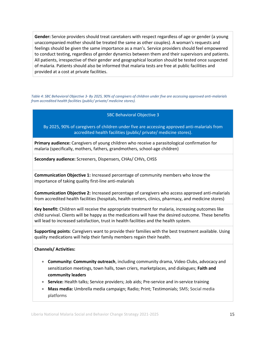**Gender:** Service providers should treat caretakers with respect regardless of age or gender (a young unaccompanied mother should be treated the same as other couples). A woman's requests and feelings should be given the same importance as a man's. Service providers should feel empowered to conduct testing, regardless of gender dynamics between them and their supervisors and patients. All patients, irrespective of their gender and geographical location should be tested once suspected of malaria. Patients should also be informed that malaria tests are free at public facilities and provided at a cost at private facilities.

<span id="page-23-0"></span>*Table 4: SBC Behavioral Objective 3- By 2025, 90% of caregivers of children under five are accessing approved anti-malarials from accredited health facilities (public/ private/ medicine stores).*

#### SBC Behavioral Objective 3

By 2025, 90% of caregivers of children under five are accessing approved anti-malarials from accredited health facilities (public/ private/ medicine stores).

**Primary audience:** Caregivers of young children who receive a parasitological confirmation for malaria (specifically, mothers, fathers, grandmothers, school-age children)

**Secondary audience:** Screeners, Dispensers, CHAs/ CHVs, CHSS

**Communication Objective 1:** Increased percentage of community members who know the importance of taking quality first-line anti-malarials

**Communication Objective 2:** Increased percentage of caregivers who access approved anti-malarials from accredited health facilities (hospitals, health centers, clinics, pharmacy, and medicine stores)

**Key benefit:** Children will receive the appropriate treatment for malaria, increasing outcomes like child survival. Clients will be happy as the medications will have the desired outcome. These benefits will lead to increased satisfaction, trust in health facilities and the health system.

**Supporting points**: Caregivers want to provide their families with the best treatment available. Using quality medications will help their family members regain their health.

#### **Channels/ Activities:**

- **Community: Community outreach**, including community drama, Video Clubs, advocacy and sensitization meetings, town halls, town criers, marketplaces, and dialogues; **Faith and community leaders**
- **Service:** Health talks; Service providers; Job aids; Pre-service and in-service training
- **Mass media:** Umbrella media campaign; Radio; Print; Testimonials; SMS; Social media platforms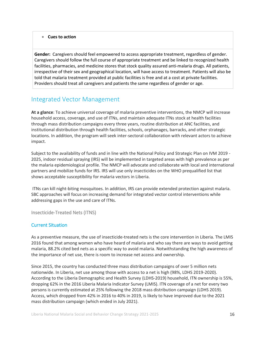#### • **Cues to action**

**Gender:** Caregivers should feel empowered to access appropriate treatment, regardless of gender. Caregivers should follow the full course of appropriate treatment and be linked to recognized health facilities, pharmacies, and medicine stores that stock quality assured anti-malaria drugs. All patients, irrespective of their sex and geographical location, will have access to treatment. Patients will also be told that malaria treatment provided at public facilities is free and at a cost at private facilities. Providers should treat all caregivers and patients the same regardless of gender or age.

#### <span id="page-24-0"></span>Integrated Vector Management

**At a glance**: To achieve universal coverage of malaria preventive interventions, the NMCP will increase household access, coverage, and use of ITNs, and maintain adequate ITNs stock at health facilities through mass distribution campaigns every three years, routine distribution at ANC facilities, and institutional distribution through health facilities, schools, orphanages, barracks, and other strategic locations. In addition, the program will seek inter-sectoral collaboration with relevant actors to achieve impact.

Subject to the availability of funds and in line with the National Policy and Strategic Plan on IVM 2019 - 2025, indoor residual spraying (IRS) will be implemented in targeted areas with high prevalence as per the malaria epidemiological profile. The NMCP will advocate and collaborate with local and international partners and mobilize funds for IRS. IRS will use only insecticides on the WHO prequalified list that shows acceptable susceptibility for malaria vectors in Liberia.

ITNs can kill night-biting mosquitoes. In addition, IRS can provide extended protection against malaria. SBC approaches will focus on increasing demand for integrated vector control interventions while addressing gaps in the use and care of ITNs.

Insecticide-Treated Nets (ITNS)

#### Current Situation

As a preventive measure, the use of insecticide-treated nets is the core intervention in Liberia. The LMIS 2016 found that among women who have heard of malaria and who say there are ways to avoid getting malaria, 88.2% cited bed nets as a specific way to avoid malaria. Notwithstanding the high awareness of the importance of net use, there is room to increase net access and ownership.

Since 2015, the country has conducted three mass distribution campaigns of over 5 million nets nationwide. In Liberia, net use among those with access to a net is high (98%, LDHS 2019-2020). According to the Liberia Demographic and Health Survey (LDHS-2019) household, ITN ownership is 55%, dropping 62% in the 2016 Liberia Malaria Indicator Survey (LMIS). ITN coverage of a net for every two persons is currently estimated at 25% following the 2018 mass distribution campaign (LDHS 2019). Access, which dropped from 42% in 2016 to 40% in 2019, is likely to have improved due to the 2021 mass distribution campaign (which ended in July 2021).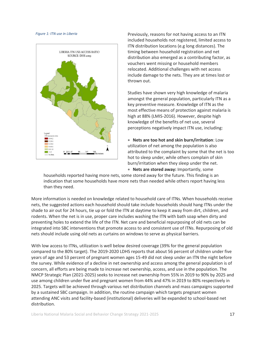#### *Figure 1: ITN use in Liberia*



Previously, reasons for not having access to an ITN included households not registered, limited access to ITN distribution locations (e.g long distances). The timing between household registration and net distribution also emerged as a contributing factor, as vouchers went missing or household members relocated. Additional challenges with net access include damage to the nets. They are at times lost or thrown out.

Studies have shown very high knowledge of malaria amongst the general population, particularly ITN as a key preventive measure. Knowledge of ITN as the most effective means of protection against malaria is high at 88% (LMIS-2016). However, despite high knowledge of the benefits of net use, several perceptions negatively impact ITN use, including:

• **Nets are too hot and skin burn/irritation**: Low utilization of net among the population is also attributed to the complaint by some that the net is too hot to sleep under, while others complain of skin burn/irritation when they sleep under the net.

• **Nets are stored away:** Importantly, some households reported having more nets, some stored away for the future. This finding is an indication that some households have more nets than needed while others report having less than they need.

More information is needed on knowledge related to household care of ITNs. When households receive nets, the suggested actions each household should take include households should hang ITNs under the shade to air out for 24 hours, tie up or fold the ITN at daytime to keep it away from dirt, children, and rodents. When the net is in use, proper care includes washing the ITN with bath soap when dirty and preventing holes to extend the life of the ITN. Net care and beneficial repurposing of old nets can be integrated into SBC interventions that promote access to and consistent use of ITNs. Repurposing of old nets should include using old nets as curtains on windows to serve as physical barriers.

With low access to ITNs, utilization is well below desired coverage (39% for the general population compared to the 80% target). The 2019-2020 LDHS reports that about 56 percent of children under five years of age and 53 percent of pregnant women ages 15-49 did not sleep under an ITN the night before the survey. While evidence of a decline in net ownership and access among the general population is of concern, all efforts are being made to increase net ownership, access, and use in the population. The NMCP Strategic Plan (2021-2025) seeks to increase net ownership from 55% in 2019 to 90% by 2025 and use among children under five and pregnant women from 44% and 47% in 2019 to 80% respectively in 2025. Targets will be achieved through various net distribution channels and mass campaigns supported by a sustained SBC campaign. In addition, the routine campaign which targets pregnant women attending ANC visits and facility-based (institutional) deliveries will be expanded to school-based net distribution.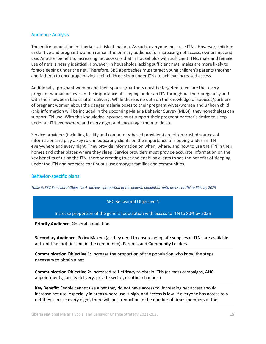#### Audience Analysis

The entire population in Liberia is at risk of malaria. As such, everyone must use ITNs. However, children under five and pregnant women remain the primary audience for increasing net access, ownership, and use. Another benefit to increasing net access is that in households with sufficient ITNs, male and female use of nets is nearly identical. However, in households lacking sufficient nets, males are more likely to forgo sleeping under the net. Therefore, SBC approaches must target young children's parents (mother and fathers) to encourage having their children sleep under ITNs to achieve increased access.

Additionally, pregnant women and their spouses/partners must be targeted to ensure that every pregnant woman believes in the importance of sleeping under an ITN throughout their pregnancy and with their newborn babies after delivery. While there is no data on the knowledge of spouses/partners of pregnant women about the danger malaria poses to their pregnant wives/women and unborn child (this information will be included in the upcoming Malaria Behavior Survey (MBS)), they nonetheless can support ITN-use. With this knowledge, spouses must support their pregnant partner's desire to sleep under an ITN everywhere and every night and encourage them to do so.

Service providers (including facility and community-based providers) are often trusted sources of information and play a key role in educating clients on the importance of sleeping under an ITN everywhere and every night. They provide information on when, where, and how to use the ITN in their homes and other places where they sleep. Service providers must provide accurate information on the key benefits of using the ITN, thereby creating trust and enabling clients to see the benefits of sleeping under the ITN and promote continuous use amongst families and communities.

#### Behavior-specific plans

<span id="page-26-0"></span>*Table 5: SBC Behavioral Objective 4- Increase proportion of the general population with access to ITN to 80% by 2025*

#### SBC Behavioral Objective 4

Increase proportion of the general population with access to ITN to 80% by 2025

**Priority Audience:** General population

**Secondary Audience:** Policy Makers (as they need to ensure adequate supplies of ITNs are available at front-line facilities and in the community), Parents, and Community Leaders.

**Communication Objective 1:** Increase the proportion of the population who know the steps necessary to obtain a net

**Communication Objective 2:** Increased self-efficacy to obtain ITNs (at mass campaigns, ANC appointments, facility delivery, private sector, or other channels)

**Key Benefit:** People cannot use a net they do not have access to. Increasing net access should increase net use, especially in areas where use is high, and access is low. If everyone has access to a net they can use every night, there will be a reduction in the number of times members of the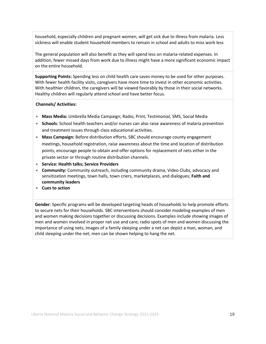household, especially children and pregnant women, will get sick due to illness from malaria. Less sickness will enable student household members to remain in school and adults to miss work less

The general population will also benefit as they will spend less on malaria-related expenses. In addition, fewer missed days from work due to illness might have a more significant economic impact on the entire household.

**Supporting Points:** Spending less on child health care saves money to be used for other purposes. With fewer health facility visits, caregivers have more time to invest in other economic activities. With healthier children, the caregivers will be viewed favorably by those in their social networks. Healthy children will regularly attend school and have better focus.

#### **Channels/ Activities:**

- **Mass Media:** Umbrella Media Campaign; Radio, Print, Testimonial, SMS, Social Media
- **Schools**: School health teachers and/or nurses can also raise awareness of malaria prevention and treatment issues through class educational activities.
- **Mass Campaign:** Before distribution efforts, SBC should encourage county engagement meetings, household registration, raise awareness about the time and location of distribution points, encourage people to obtain and offer options for replacement of nets either in the private sector or through routine distribution channels.
- **Service: Health talks; Service Providers**
- **Community:** Community outreach, including community drama, Video Clubs, advocacy and sensitization meetings, town halls, town criers, marketplaces, and dialogues; **Faith and community leaders**
- **Cues to action**

**Gender**: Specific programs will be developed targeting heads of households to help promote efforts to secure nets for their households. SBC interventions should consider modeling examples of men and women making decisions together or discussing decisions. Examples include showing images of men and women involved in proper net use and care; radio spots of men and women discussing the importance of using nets; images of a family sleeping under a net can depict a man, woman, and child sleeping under the net; men can be shown helping to hang the net.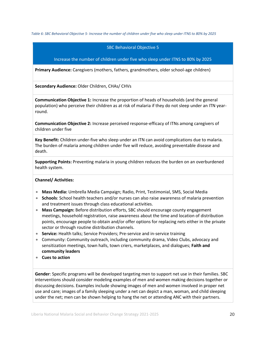<span id="page-28-0"></span>*Table 6: SBC Behavioral Objective 5- Increase the number of children under five who sleep under ITNS to 80% by 2025*

#### SBC Behavioral Objective 5

#### Increase the number of children under five who sleep under ITNS to 80% by 2025

**Primary Audience:** Caregivers (mothers, fathers, grandmothers, older school-age children)

**Secondary Audience:** Older Children, CHAs/ CHVs

**Communication Objective 1:** Increase the proportion of heads of households (and the general population) who perceive their children as at risk of malaria if they do not sleep under an ITN yearround.

**Communication Objective 2:** Increase perceived response-efficacy of ITNs among caregivers of children under five

**Key Benefit:** Children under-five who sleep under an ITN can avoid complications due to malaria. The burden of malaria among children under five will reduce, avoiding preventable disease and death.

**Supporting Points:** Preventing malaria in young children reduces the burden on an overburdened health system.

#### **Channel/ Activities:**

- **Mass Media:** Umbrella Media Campaign; Radio, Print, Testimonial, SMS, Social Media
- **Schools**: School health teachers and/or nurses can also raise awareness of malaria prevention and treatment issues through class educational activities.
- **Mass Campaign:** Before distribution efforts, SBC should encourage county engagement meetings, household registration, raise awareness about the time and location of distribution points, encourage people to obtain and/or offer options for replacing nets either in the private sector or through routine distribution channels.
- **Service:** Health talks; Service Providers; Pre-service and in-service training
- Community: Community outreach, including community drama, Video Clubs, advocacy and sensitization meetings, town halls, town criers, marketplaces, and dialogues; **Faith and community leaders**
- **Cues to action**

**Gender**: Specific programs will be developed targeting men to support net use in their families. SBC interventions should consider modeling examples of men and women making decisions together or discussing decisions. Examples include showing images of men and women involved in proper net use and care; images of a family sleeping under a net can depict a man, woman, and child sleeping under the net; men can be shown helping to hang the net or attending ANC with their partners.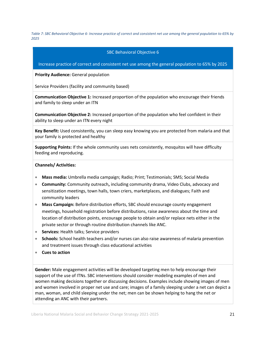<span id="page-29-0"></span>*Table 7: SBC Behavioral Objective 6- Increase practice of correct and consistent net use among the general population to 65% by 2025*

#### SBC Behavioral Objective 6

Increase practice of correct and consistent net use among the general population to 65% by 2025

**Priority Audience:** General population

Service Providers (facility and community based)

**Communication Objective 1:** Increased proportion of the population who encourage their friends and family to sleep under an ITN

**Communication Objective 2:** Increased proportion of the population who feel confident in their ability to sleep under an ITN every night

**Key Benefit:** Used consistently, you can sleep easy knowing you are protected from malaria and that your family is protected and healthy

**Supporting Points:** If the whole community uses nets consistently, mosquitos will have difficulty feeding and reproducing.

#### **Channels/ Activities:**

- **Mass media:** Umbrella media campaign; Radio; Print; Testimonials; SMS; Social Media
- **Community:** Community outreach**,** including community drama, Video Clubs, advocacy and sensitization meetings, town halls, town criers, marketplaces, and dialogues; Faith and community leaders
- **Mass Campaign:** Before distribution efforts, SBC should encourage county engagement meetings, household registration before distributions, raise awareness about the time and location of distribution points, encourage people to obtain and/or replace nets either in the private sector or through routine distribution channels like ANC.
- **Services:** Health talks; Service providers
- **Schools:** School health teachers and/or nurses can also raise awareness of malaria prevention and treatment issues through class educational activities
- **Cues to action**

**Gender:** Male engagement activities will be developed targeting men to help encourage their support of the use of ITNs. SBC interventions should consider modeling examples of men and women making decisions together or discussing decisions. Examples include showing images of men and women involved in proper net use and care; images of a family sleeping under a net can depict a man, woman, and child sleeping under the net; men can be shown helping to hang the net or attending an ANC with their partners.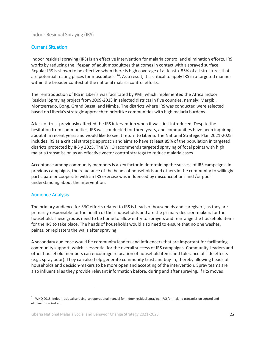Indoor Residual Spraying (IRS)

#### Current Situation

Indoor residual spraying (IRS) is an effective intervention for malaria control and elimination efforts. IRS works by reducing the lifespan of adult mosquitoes that comes in contact with a sprayed surface. Regular IRS is shown to be effective when there is high coverage of at least > 85% of all structures that are potential resting places for mosquitoes. <sup>10</sup>. As a result, it is critical to apply IRS in a targeted manner within the broader context of the national malaria control efforts.

The reintroduction of IRS in Liberia was facilitated by PMI, which implemented the Africa Indoor Residual Spraying project from 2009-2013 in selected districts in five counties, namely: Margibi, Montserrado, Bong, Grand Bassa, and Nimba. The districts where IRS was conducted were selected based on Liberia's strategic approach to prioritize communities with high malaria burdens.

A lack of trust previously affected the IRS intervention when it was first introduced. Despite the hesitation from communities, IRS was conducted for three years, and communities have been inquiring about it in recent years and would like to see it return to Liberia. The National Strategic Plan 2021-2025 includes IRS as a critical strategic approach and aims to have at least 85% of the population in targeted districts protected by IRS y 2025. The WHO recommends targeted spraying of focal points with high malaria transmission as an effective vector control strategy to reduce malaria cases.

Acceptance among community members is a key factor in determining the success of IRS campaigns. In previous campaigns, the reluctance of the heads of households and others in the community to willingly participate or cooperate with an IRS exercise was influenced by misconceptions and /or poor understanding about the intervention.

#### Audience Analysis

The primary audience for SBC efforts related to IRS is heads of households and caregivers, as they are primarily responsible for the health of their households and are the primary decision-makers for the household. These groups need to be home to allow entry to sprayers and rearrange the household items for the IRS to take place. The heads of households would also need to ensure that no one washes, paints, or replasters the walls after spraying.

A secondary audience would be community leaders and influencers that are important for facilitating community support, which is essential for the overall success of IRS campaigns. Community Leaders and other household members can encourage relocation of household items and tolerance of side effects (e.g., spray odor). They can also help generate community trust and buy-in, thereby allowing heads of households and decision-makers to be more open and accepting of the intervention. Spray teams are also influential as they provide relevant information before, during and after spraying. If IRS moves

<sup>&</sup>lt;sup>10</sup> WHO 2015: Indoor residual spraying: an operational manual for indoor residual spraying (IRS) for malaria transmission control and elimination – 2nd ed.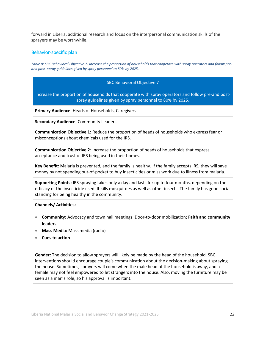forward in Liberia, additional research and focus on the interpersonal communication skills of the sprayers may be worthwhile.

#### Behavior-specific plan

<span id="page-31-0"></span>*Table 8: SBC Behavioral Objective 7- Increase the proportion of households that cooperate with spray operators and follow preand post- spray guidelines given by spray personnel to 80% by 2025.*

#### SBC Behavioral Objective 7

Increase the proportion of households that cooperate with spray operators and follow pre-and postspray guidelines given by spray personnel to 80% by 2025.

**Primary Audience:** Heads of Households, Caregivers

**Secondary Audience:** Community Leaders

**Communication Objective 1:** Reduce the proportion of heads of households who express fear or misconceptions about chemicals used for the IRS.

**Communication Objective 2**: Increase the proportion of heads of households that express acceptance and trust of IRS being used in their homes.

**Key Benefit:** Malaria is prevented, and the family is healthy. If the family accepts IRS, they will save money by not spending out-of-pocket to buy insecticides or miss work due to illness from malaria.

**Supporting Points:** IRS spraying takes only a day and lasts for up to four months, depending on the efficacy of the insecticide used. It kills mosquitoes as well as other insects. The family has good social standing for being healthy in the community.

#### **Channels/ Activities:**

- **Community:** Advocacy and town hall meetings; Door-to-door mobilization; **Faith and community leaders**
- **Mass Media:** Mass media (radio)
- **Cues to action**

**Gender:** The decision to allow sprayers will likely be made by the head of the household. SBC interventions should encourage couple's communication about the decision-making about spraying the house. Sometimes, sprayers will come when the male head of the household is away, and a female may not feel empowered to let strangers into the house. Also, moving the furniture may be seen as a man's role, so his approval is important.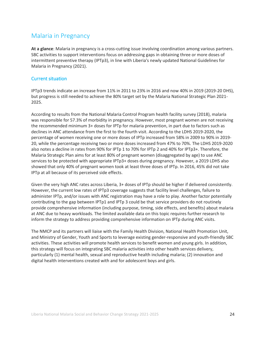### <span id="page-32-0"></span>Malaria in Pregnancy

**At a glance**: Malaria in pregnancy is a cross-cutting issue involving coordination among various partners. SBC activities to support interventions focus on addressing gaps in obtaining three or more doses of intermittent preventive therapy (IPTp3), in line with Liberia's newly updated National Guidelines for Malaria in Pregnancy (2021).

#### Current situation

IPTp3 trends indicate an increase from 11% in 2011 to 23% in 2016 and now 40% in 2019 (2019-20 DHS), but progress is still needed to achieve the 80% target set by the Malaria National Strategic Plan 2021- 2025.

According to results from the National Malaria Control Program health facility survey (2018), malaria was responsible for 57.3% of morbidity in pregnancy. However, most pregnant women are not receiving the recommended minimum 3+ doses for IPTp for malaria prevention, in part due to factors such as declines in ANC attendance from the first to the fourth visit. According to the LDHS 2019-2020, the percentage of women receiving one or more doses of IPTp increased from 58% in 2009 to 90% in 2019- 20, while the percentage receiving two or more doses increased from 47% to 70%. The LDHS 2019-2020 also notes a decline in rates from 90% for IPTp 1 to 70% for IPTp 2 and 40% for IPTp3+. Therefore, the Malaria Strategic Plan aims for at least 80% of pregnant women (disaggregated by age) to use ANC services to be protected with appropriate IPTp3+ doses during pregnancy. However, a 2019 LDHS also showed that only 40% of pregnant women took at least three doses of IPTp. In 2016, 45% did not take IPTp at all because of its perceived side effects.

Given the very high ANC rates across Liberia, 3+ doses of IPTp should be higher if delivered consistently. However, the current low rates of IPTp3 coverage suggests that facility level challenges, failure to administer IPTp, and/or issues with ANC registration may have a role to play. Another factor potentially contributing to the gap between IPTp1 and IPTp 3 could be that service providers do not routinely provide comprehensive information (including purpose, timing, side effects, and benefits) about malaria at ANC due to heavy workloads. The limited available data on this topic requires further research to inform the strategy to address providing comprehensive information on IPTp during ANC visits.

The NMCP and its partners will liaise with the Family Health Division, National Health Promotion Unit, and Ministry of Gender, Youth and Sports to leverage existing gender-responsive and youth-friendly SBC activities. These activities will promote health services to benefit women and young girls. In addition, this strategy will focus on integrating SBC malaria activities into other health services delivery, particularly (1) mental health, sexual and reproductive health including malaria; (2) innovation and digital health interventions created with and for adolescent boys and girls.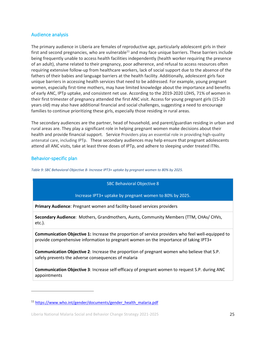#### Audience analysis

The primary audience in Liberia are females of reproductive age, particularly adolescent girls in their first and second pregnancies, who are vulnerable $^{11}$  and may face unique barriers. These barriers include being frequently unable to access health facilities independently (health worker requiring the presence of an adult), shame related to their pregnancy, poor adherence, and refusal to access resources often requiring extensive follow-up from healthcare workers, lack of social support due to the absence of the fathers of their babies and language barriers at the health facility. Additionally, adolescent girls face unique barriers in accessing health services that need to be addressed. For example, young pregnant women, especially first-time mothers, may have limited knowledge about the importance and benefits of early ANC, IPTp uptake, and consistent net use. According to the 2019-2020 LDHS, 71% of women in their first trimester of pregnancy attended the first ANC visit. Access for young pregnant girls (15-20 years old) may also have additional financial and social challenges, suggesting a need to encourage families to continue prioritizing these girls, especially those residing in rural areas.

The secondary audiences are the partner, head of household, and parent/guardian residing in urban and rural areas are. They play a significant role in helping pregnant women make decisions about their health and provide financial support. Service Providers play an essential role in providing high-quality antenatal care, including IPTp. These secondary audiences may help ensure that pregnant adolescents attend all ANC visits, take at least three doses of IPTp, and adhere to sleeping under treated ITNs.

#### Behavior-specific plan

<span id="page-33-0"></span>*Table 9: SBC Behavioral Objective 8- Increase IPT3+ uptake by pregnant women to 80% by 2025.*

#### SBC Behavioral Objective 8

Increase IPT3+ uptake by pregnant women to 80% by 2025.

**Primary Audience**: Pregnant women and facility-based services providers

**Secondary Audience**: Mothers, Grandmothers, Aunts, Community Members (TTM, CHAs/ CHVs, etc.).

**Communication Objective 1:** Increase the proportion of service providers who feel well-equipped to provide comprehensive information to pregnant women on the importance of taking IPT3+

**Communication Objective 2**: Increase the proportion of pregnant women who believe that S.P. safely prevents the adverse consequences of malaria

**Communication Objective 3**: Increase self-efficacy of pregnant women to request S.P. during ANC appointments

<sup>&</sup>lt;sup>11</sup> [https://www.who.int/gender/documents/gender\\_health\\_malaria.pdf](https://www.who.int/gender/documents/gender_health_malaria.pdf)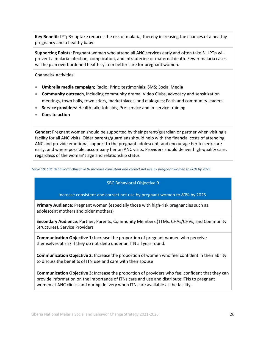**Key Benefit**: IPTp3+ uptake reduces the risk of malaria, thereby increasing the chances of a healthy pregnancy and a healthy baby.

**Supporting Points:** Pregnant women who attend all ANC services early and often take 3+ IPTp will prevent a malaria infection, complication, and intrauterine or maternal death. Fewer malaria cases will help an overburdened health system better care for pregnant women.

Channels/ Activities:

- **Umbrella media campaign;** Radio; Print; testimonials; SMS; Social Media
- **Community outreach**, including community drama, Video Clubs, advocacy and sensitization meetings, town halls, town criers, marketplaces, and dialogues; Faith and community leaders
- **Service providers**: Health talk; Job aids; Pre-service and in-service training
- **Cues to action**

**Gender:** Pregnant women should be supported by their parent/guardian or partner when visiting a facility for all ANC visits. Older parents/guardians should help with the financial costs of attending ANC and provide emotional support to the pregnant adolescent, and encourage her to seek care early, and where possible, accompany her on ANC visits. Providers should deliver high-quality care, regardless of the woman's age and relationship status

<span id="page-34-0"></span>*Table 10: SBC Behavioral Objective 9- Increase consistent and correct net use by pregnant women to 80% by 2025.*

#### SBC Behavioral Objective 9

Increase consistent and correct net use by pregnant women to 80% by 2025.

**Primary Audience**: Pregnant women (especially those with high-risk pregnancies such as adolescent mothers and older mothers)

**Secondary Audience**: Partner; Parents, Community Members (TTMs, CHAs/CHVs, and Community Structures), Service Providers

**Communication Objective 1:** Increase the proportion of pregnant women who perceive themselves at risk if they do not sleep under an ITN all year round.

**Communication Objective 2**: Increase the proportion of women who feel confident in their ability to discuss the benefits of ITN use and care with their spouse

**Communication Objective 3:** Increase the proportion of providers who feel confident that they can provide information on the importance of ITNs care and use and distribute ITNs to pregnant women at ANC clinics and during delivery when ITNs are available at the facility.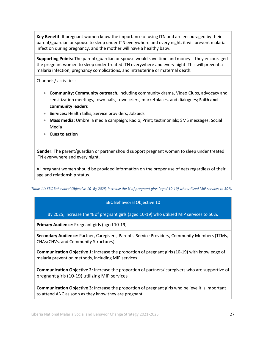**Key Benefit**: If pregnant women know the importance of using ITN and are encouraged by their parent/guardian or spouse to sleep under ITN everywhere and every night, it will prevent malaria infection during pregnancy, and the mother will have a healthy baby.

**Supporting Points:** The parent/guardian or spouse would save time and money if they encouraged the pregnant women to sleep under treated ITN everywhere and every night. This will prevent a malaria infection, pregnancy complications, and intrauterine or maternal death.

Channels/ activities:

- **Community: Community outreach**, including community drama, Video Clubs, advocacy and sensitization meetings, town halls, town criers, marketplaces, and dialogues; **Faith and community leaders**
- **Services:** Health talks; Service providers; Job aids
- **Mass media:** Umbrella media campaign; Radio; Print; testimonials; SMS messages; Social Media
- **Cues to action**

**Gender:** The parent/guardian or partner should support pregnant women to sleep under treated ITN everywhere and every night.

All pregnant women should be provided information on the proper use of nets regardless of their age and relationship status.

<span id="page-35-0"></span>*Table 11: SBC Behavioral Objective 10- By 2025, increase the % of pregnant girls (aged 10-19) who utilized MIP services to 50%.*

#### SBC Behavioral Objective 10

By 2025, increase the % of pregnant girls (aged 10-19) who utilized MIP services to 50%.

**Primary Audience**: Pregnant girls (aged 10-19)

**Secondary Audience**: Partner, Caregivers, Parents, Service Providers, Community Members (TTMs, CHAs/CHVs, and Community Structures)

**Communication Objective 1**: Increase the proportion of pregnant girls (10-19) with knowledge of malaria prevention methods, including MIP services

**Communication Objective 2:** Increase the proportion of partners/ caregivers who are supportive of pregnant girls (10-19) utilizing MIP services

**Communication Objective 3:** Increase the proportion of pregnant girls who believe it is important to attend ANC as soon as they know they are pregnant.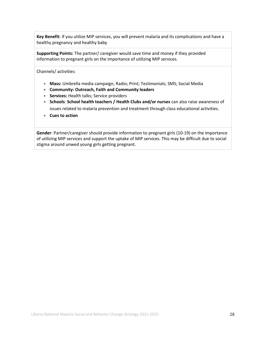**Key Benefit**: If you utilize MIP services, you will prevent malaria and its complications and have a healthy pregnancy and healthy baby

**Supporting Points:** The partner/ caregiver would save time and money if they provided information to pregnant girls on the importance of utilizing MIP services.

Channels/ activities:

- **Mass:** Umbrella media campaign; Radio; Print; Testimonials; SMS; Social Media
- **Community: Outreach, Faith and Community leaders**
- **Services:** Health talks; Service providers
- **Schools**: **School health teachers / Health Clubs and/or nurses** can also raise awareness of issues related to malaria prevention and treatment through class educational activities.
- **Cues to action**

**Gender**: Partner/caregiver should provide information to pregnant girls (10-19) on the importance of utilizing MIP services and support the uptake of MIP services. This may be difficult due to social stigma around unwed young girls getting pregnant.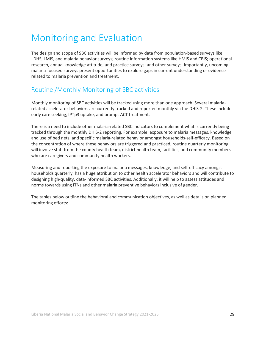## <span id="page-37-0"></span>Monitoring and Evaluation

The design and scope of SBC activities will be informed by data from population-based surveys like LDHS, LMIS, and malaria behavior surveys; routine information systems like HMIS and CBIS; operational research, annual knowledge attitude, and practice surveys; and other surveys. Importantly, upcoming malaria-focused surveys present opportunities to explore gaps in current understanding or evidence related to malaria prevention and treatment.

### <span id="page-37-1"></span>Routine /Monthly Monitoring of SBC activities

Monthly monitoring of SBC activities will be tracked using more than one approach. Several malariarelated accelerator behaviors are currently tracked and reported monthly via the DHIS-2. These include early care seeking, IPTp3 uptake, and prompt ACT treatment.

There is a need to include other malaria-related SBC indicators to complement what is currently being tracked through the monthly DHIS-2 reporting. For example, exposure to malaria messages, knowledge and use of bed nets, and specific malaria-related behavior amongst households-self-efficacy. Based on the concentration of where these behaviors are triggered and practiced, routine quarterly monitoring will involve staff from the county health team, district health team, facilities, and community members who are caregivers and community health workers.

Measuring and reporting the exposure to malaria messages, knowledge, and self-efficacy amongst households quarterly, has a huge attribution to other health accelerator behaviors and will contribute to designing high-quality, data-informed SBC activities. Additionally, it will help to assess attitudes and norms towards using ITNs and other malaria preventive behaviors inclusive of gender.

The tables below outline the behavioral and communication objectives, as well as details on planned monitoring efforts: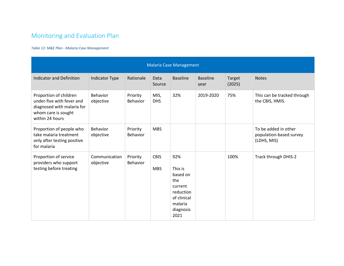### Monitoring and Evaluation Plan

#### *Table 12: M&E Plan - Malaria Case Management*

<span id="page-38-1"></span><span id="page-38-0"></span>

| <b>Malaria Case Management</b>                                                                                              |                            |                      |                           |                                                                                                          |                         |                  |                                                                |  |  |
|-----------------------------------------------------------------------------------------------------------------------------|----------------------------|----------------------|---------------------------|----------------------------------------------------------------------------------------------------------|-------------------------|------------------|----------------------------------------------------------------|--|--|
| <b>Indicator and Definition</b>                                                                                             | <b>Indicator Type</b>      | Rationale            | Data<br>Source            | <b>Baseline</b>                                                                                          | <b>Baseline</b><br>year | Target<br>(2025) | <b>Notes</b>                                                   |  |  |
| Proportion of children<br>under-five with fever and<br>diagnosed with malaria for<br>whom care is sought<br>within 24 hours | Behavior<br>objective      | Priority<br>Behavior | MIS,<br><b>DHS</b>        | 32%                                                                                                      | 2019-2020               | 75%              | This can be tracked through<br>the CBIS, HMIS.                 |  |  |
| Proportion of people who<br>take malaria treatment<br>only after testing positive<br>for malaria                            | Behavior<br>objective      | Priority<br>Behavior | <b>MBS</b>                |                                                                                                          |                         |                  | To be added in other<br>population-based survey<br>(LDHS, MIS) |  |  |
| Proportion of service<br>providers who support<br>testing before treating                                                   | Communication<br>objective | Priority<br>Behavior | <b>CBIS</b><br><b>MBS</b> | 92%<br>This is<br>based on<br>the<br>current<br>reduction<br>of clinical<br>malaria<br>diagnosis<br>2021 |                         | 100%             | Track through DHIS-2                                           |  |  |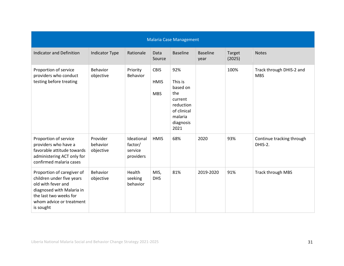| <b>Malaria Case Management</b>                                                                                                                                                |                                   |                                               |                                          |                                                                                                          |                         |                  |                                        |  |  |
|-------------------------------------------------------------------------------------------------------------------------------------------------------------------------------|-----------------------------------|-----------------------------------------------|------------------------------------------|----------------------------------------------------------------------------------------------------------|-------------------------|------------------|----------------------------------------|--|--|
| <b>Indicator and Definition</b>                                                                                                                                               | <b>Indicator Type</b>             | Rationale                                     | Data<br>Source                           | <b>Baseline</b>                                                                                          | <b>Baseline</b><br>year | Target<br>(2025) | <b>Notes</b>                           |  |  |
| Proportion of service<br>providers who conduct<br>testing before treating                                                                                                     | Behavior<br>objective             | Priority<br><b>Behavior</b>                   | <b>CBIS</b><br><b>HMIS</b><br><b>MBS</b> | 92%<br>This is<br>based on<br>the<br>current<br>reduction<br>of clinical<br>malaria<br>diagnosis<br>2021 |                         | 100%             | Track through DHIS-2 and<br><b>MBS</b> |  |  |
| Proportion of service<br>providers who have a<br>favorable attitude towards<br>administering ACT only for<br>confirmed malaria cases                                          | Provider<br>behavior<br>objective | Ideational<br>factor/<br>service<br>providers | <b>HMIS</b>                              | 68%                                                                                                      | 2020                    | 93%              | Continue tracking through<br>DHIS-2.   |  |  |
| Proportion of caregiver of<br>children under five years<br>old with fever and<br>diagnosed with Malaria in<br>the last two weeks for<br>whom advice or treatment<br>is sought | Behavior<br>objective             | Health<br>seeking<br>behavior                 | MIS,<br><b>DHS</b>                       | 81%                                                                                                      | 2019-2020               | 91%              | Track through MBS                      |  |  |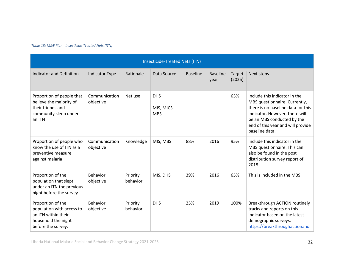<span id="page-40-0"></span>

| Insecticide-Treated Nets (ITN)                                                                                     |                              |                      |                                        |                 |                         |                  |                                                                                                                                                                                                                             |  |  |
|--------------------------------------------------------------------------------------------------------------------|------------------------------|----------------------|----------------------------------------|-----------------|-------------------------|------------------|-----------------------------------------------------------------------------------------------------------------------------------------------------------------------------------------------------------------------------|--|--|
| <b>Indicator and Definition</b>                                                                                    | <b>Indicator Type</b>        | Rationale            | Data Source                            | <b>Baseline</b> | <b>Baseline</b><br>year | Target<br>(2025) | Next steps                                                                                                                                                                                                                  |  |  |
| Proportion of people that<br>believe the majority of<br>their friends and<br>community sleep under<br>an ITN       | Communication<br>objective   | Net use              | <b>DHS</b><br>MIS, MICS,<br><b>MBS</b> |                 |                         | 65%              | Include this indicator in the<br>MBS questionnaire. Currently,<br>there is no baseline data for this<br>indicator. However, there will<br>be an MBS conducted by the<br>end of this year and will provide<br>baseline data. |  |  |
| Proportion of people who<br>know the use of ITN as a<br>preventive measure<br>against malaria                      | Communication<br>objective   | Knowledge            | MIS, MBS                               | 88%             | 2016                    | 95%              | Include this indicator in the<br>MBS questionnaire. This can<br>also be found in the post<br>distribution survey report of<br>2018                                                                                          |  |  |
| Proportion of the<br>population that slept<br>under an ITN the previous<br>night before the survey                 | Behavior<br>objective        | Priority<br>behavior | MIS, DHS                               | 39%             | 2016                    | 65%              | This is included in the MBS                                                                                                                                                                                                 |  |  |
| Proportion of the<br>population with access to<br>an ITN within their<br>household the night<br>before the survey. | <b>Behavior</b><br>objective | Priority<br>behavior | <b>DHS</b>                             | 25%             | 2019                    | 100%             | Breakthrough ACTION routinely<br>tracks and reports on this<br>indicator based on the latest<br>demographic surveys:<br>https://breakthroughactionandr                                                                      |  |  |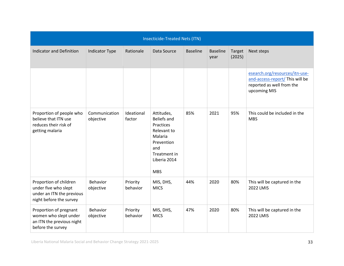| <b>Insecticide-Treated Nets (ITN)</b>                                                                  |                            |                      |                                                                                                                                            |                 |                         |                  |                                                                                                                |  |  |
|--------------------------------------------------------------------------------------------------------|----------------------------|----------------------|--------------------------------------------------------------------------------------------------------------------------------------------|-----------------|-------------------------|------------------|----------------------------------------------------------------------------------------------------------------|--|--|
| <b>Indicator and Definition</b>                                                                        | <b>Indicator Type</b>      | Rationale            | Data Source                                                                                                                                | <b>Baseline</b> | <b>Baseline</b><br>year | Target<br>(2025) | Next steps                                                                                                     |  |  |
|                                                                                                        |                            |                      |                                                                                                                                            |                 |                         |                  | esearch.org/resources/itn-use-<br>and-access-report/ This will be<br>reported as well from the<br>upcoming MIS |  |  |
| Proportion of people who<br>believe that ITN use<br>reduces their risk of<br>getting malaria           | Communication<br>objective | Ideational<br>factor | Attitudes,<br><b>Beliefs and</b><br>Practices<br>Relevant to<br>Malaria<br>Prevention<br>and<br>Treatment in<br>Liberia 2014<br><b>MBS</b> | 85%             | 2021                    | 95%              | This could be included in the<br><b>MBS</b>                                                                    |  |  |
| Proportion of children<br>under five who slept<br>under an ITN the previous<br>night before the survey | Behavior<br>objective      | Priority<br>behavior | MIS, DHS,<br><b>MICS</b>                                                                                                                   | 44%             | 2020                    | 80%              | This will be captured in the<br>2022 LMIS                                                                      |  |  |
| Proportion of pregnant<br>women who slept under<br>an ITN the previous night<br>before the survey      | Behavior<br>objective      | Priority<br>behavior | MIS, DHS,<br><b>MICS</b>                                                                                                                   | 47%             | 2020                    | 80%              | This will be captured in the<br>2022 LMIS                                                                      |  |  |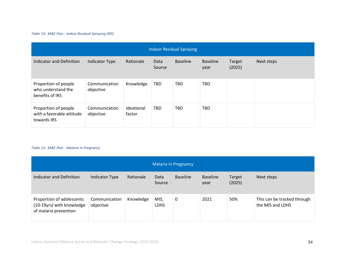*Table 14: M&E Plan - Indoor Residual Spraying (IRS)*

| <b>Indoor Residual Spraying</b>                                  |                            |                      |                |                 |                         |                  |            |  |  |
|------------------------------------------------------------------|----------------------------|----------------------|----------------|-----------------|-------------------------|------------------|------------|--|--|
| Indicator and Definition                                         | Indicator Type             | Rationale            | Data<br>Source | <b>Baseline</b> | <b>Baseline</b><br>year | Target<br>(2025) | Next steps |  |  |
| Proportion of people<br>who understand the<br>benefits of IRS    | Communication<br>objective | Knowledge            | TBD            | <b>TBD</b>      | TBD                     |                  |            |  |  |
| Proportion of people<br>with a favorable attitude<br>towards IRS | Communication<br>objective | Ideational<br>factor | <b>TBD</b>     | <b>TBD</b>      | TBD                     |                  |            |  |  |

#### <span id="page-42-0"></span>*Table 15: M&E Plan - Malaria in Pregnancy*

<span id="page-42-1"></span>

| <b>Malaria in Pregnancy</b>                                                     |                            |           |                     |                 |                         |                  |                                                 |
|---------------------------------------------------------------------------------|----------------------------|-----------|---------------------|-----------------|-------------------------|------------------|-------------------------------------------------|
| Indicator and Definition                                                        | <b>Indicator Type</b>      | Rationale | Data<br>Source      | <b>Baseline</b> | <b>Baseline</b><br>year | Target<br>(2025) | Next steps                                      |
| Proportion of adolescents<br>(10-19yrs) with knowledge<br>of malaria prevention | Communication<br>objective | Knowledge | MIS,<br><b>LDHS</b> | 0               | 2021                    | 50%              | This can be tracked through<br>the MIS and LDHS |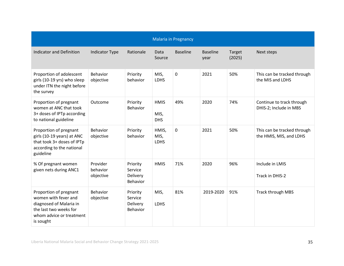| <b>Malaria in Pregnancy</b>                                                                                                                  |                                   |                                             |                                   |                 |                         |                  |                                                        |
|----------------------------------------------------------------------------------------------------------------------------------------------|-----------------------------------|---------------------------------------------|-----------------------------------|-----------------|-------------------------|------------------|--------------------------------------------------------|
| <b>Indicator and Definition</b>                                                                                                              | <b>Indicator Type</b>             | Rationale                                   | Data<br>Source                    | <b>Baseline</b> | <b>Baseline</b><br>year | Target<br>(2025) | Next steps                                             |
| Proportion of adolescent<br>girls (10-19 yrs) who sleep<br>under ITN the night before<br>the survey                                          | Behavior<br>objective             | Priority<br>behavior                        | MIS,<br><b>LDHS</b>               | $\mathbf 0$     | 2021                    | 50%              | This can be tracked through<br>the MIS and LDHS        |
| Proportion of pregnant<br>women at ANC that took<br>3+ doses of IPTp according<br>to national guideline                                      | Outcome                           | Priority<br>Behavior                        | <b>HMIS</b><br>MIS,<br><b>DHS</b> | 49%             | 2020                    | 74%              | Continue to track through<br>DHIS-2; Include in MBS    |
| Proportion of pregnant<br>girls (10-19 years) at ANC<br>that took 3+ doses of IPTp<br>according to the national<br>guideline                 | Behavior<br>objective             | Priority<br>behavior                        | HMIS,<br>MIS,<br><b>LDHS</b>      | $\mathbf 0$     | 2021                    | 50%              | This can be tracked through<br>the HMIS, MIS, and LDHS |
| % Of pregnant women<br>given nets during ANC1                                                                                                | Provider<br>behavior<br>objective | Priority<br>Service<br>Delivery<br>Behavior | <b>HMIS</b>                       | 71%             | 2020                    | 96%              | Include in LMIS<br>Track in DHIS-2                     |
| Proportion of pregnant<br>women with fever and<br>diagnosed of Malaria in<br>the last two weeks for<br>whom advice or treatment<br>is sought | Behavior<br>objective             | Priority<br>Service<br>Delivery<br>Behavior | MIS,<br><b>LDHS</b>               | 81%             | 2019-2020               | 91%              | Track through MBS                                      |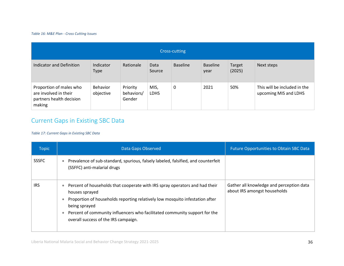*Table 16: M&E Plan - Cross Cutting Issues*

| Cross-cutting                                                                          |                          |                                  |                     |                 |                         |                  |                                                       |
|----------------------------------------------------------------------------------------|--------------------------|----------------------------------|---------------------|-----------------|-------------------------|------------------|-------------------------------------------------------|
| Indicator and Definition                                                               | Indicator<br><b>Type</b> | Rationale                        | Data<br>Source      | <b>Baseline</b> | <b>Baseline</b><br>year | Target<br>(2025) | Next steps                                            |
| Proportion of males who<br>are involved in their<br>partners health decision<br>making | Behavior<br>objective    | Priority<br>behaviors/<br>Gender | MIS,<br><b>LDHS</b> | 0               | 2021                    | 50%              | This will be included in the<br>upcoming MIS and LDHS |

### <span id="page-44-1"></span>Current Gaps in Existing SBC Data

#### *Table 17: Current Gaps in Existing SBC Data*

<span id="page-44-2"></span><span id="page-44-0"></span>

| <b>Topic</b> | Data Gaps Observed                                                                                                                                                                                                                                                                                                                                          | <b>Future Opportunities to Obtain SBC Data</b>                           |
|--------------|-------------------------------------------------------------------------------------------------------------------------------------------------------------------------------------------------------------------------------------------------------------------------------------------------------------------------------------------------------------|--------------------------------------------------------------------------|
| <b>SSSFC</b> | Prevalence of sub-standard, spurious, falsely labeled, falsified, and counterfeit<br>$\bullet$<br>(SSFFC) anti-malarial drugs                                                                                                                                                                                                                               |                                                                          |
| <b>IRS</b>   | Percent of households that cooperate with IRS spray operators and had their<br>$\bullet$<br>houses sprayed<br>Proportion of households reporting relatively low mosquito infestation after<br>$\bullet$<br>being sprayed<br>Percent of community influencers who facilitated community support for the<br>$\bullet$<br>overall success of the IRS campaign. | Gather all knowledge and perception data<br>about IRS amongst households |